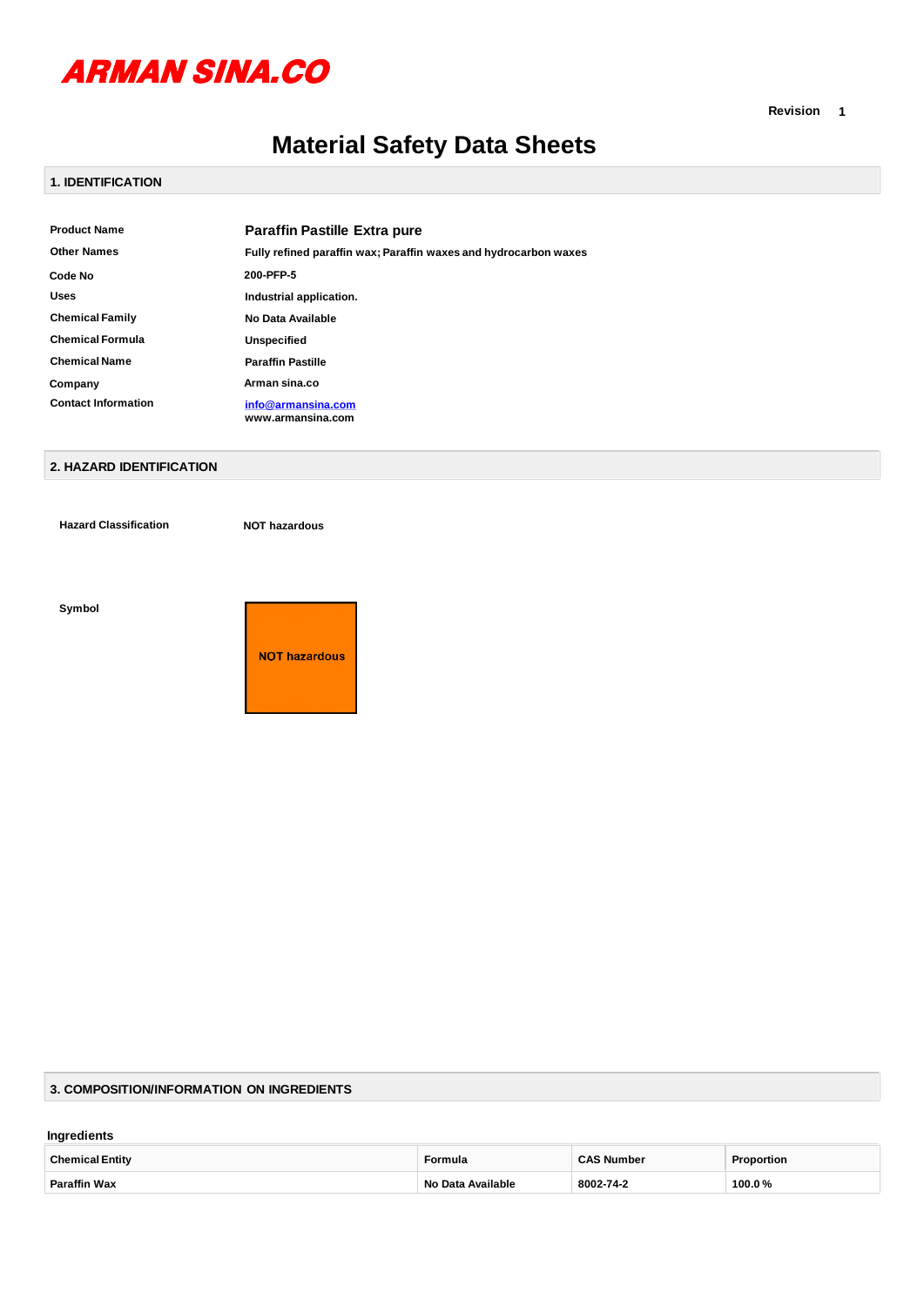

**Revision 1**

# **Material Safety Data Sheets**

# **1. IDENTIFICATION**

| <b>Product Name</b>        | <b>Paraffin Pastille Extra pure</b>                              |
|----------------------------|------------------------------------------------------------------|
| <b>Other Names</b>         | Fully refined paraffin wax; Paraffin waxes and hydrocarbon waxes |
| Code No                    | 200-PFP-5                                                        |
| <b>Uses</b>                | Industrial application.                                          |
| <b>Chemical Family</b>     | No Data Available                                                |
| <b>Chemical Formula</b>    | <b>Unspecified</b>                                               |
| <b>Chemical Name</b>       | <b>Paraffin Pastille</b>                                         |
| Company                    | Arman sina.co                                                    |
| <b>Contact Information</b> | info@armansina.com<br>www.armansina.com                          |

## **2. HAZARD IDENTIFICATION**

**Hazard Classification NOT hazardous**

#### **Symbol**



#### **3. COMPOSITION/INFORMATION ON INGREDIENTS**

#### **Ingredients**

| <b>Chemical Entity</b> | Formula                  | <b>CAS Number</b> | Proportion |
|------------------------|--------------------------|-------------------|------------|
| <b>Paraffin Wax</b>    | <b>No Data Available</b> | 8002-74-2         | 100.0%     |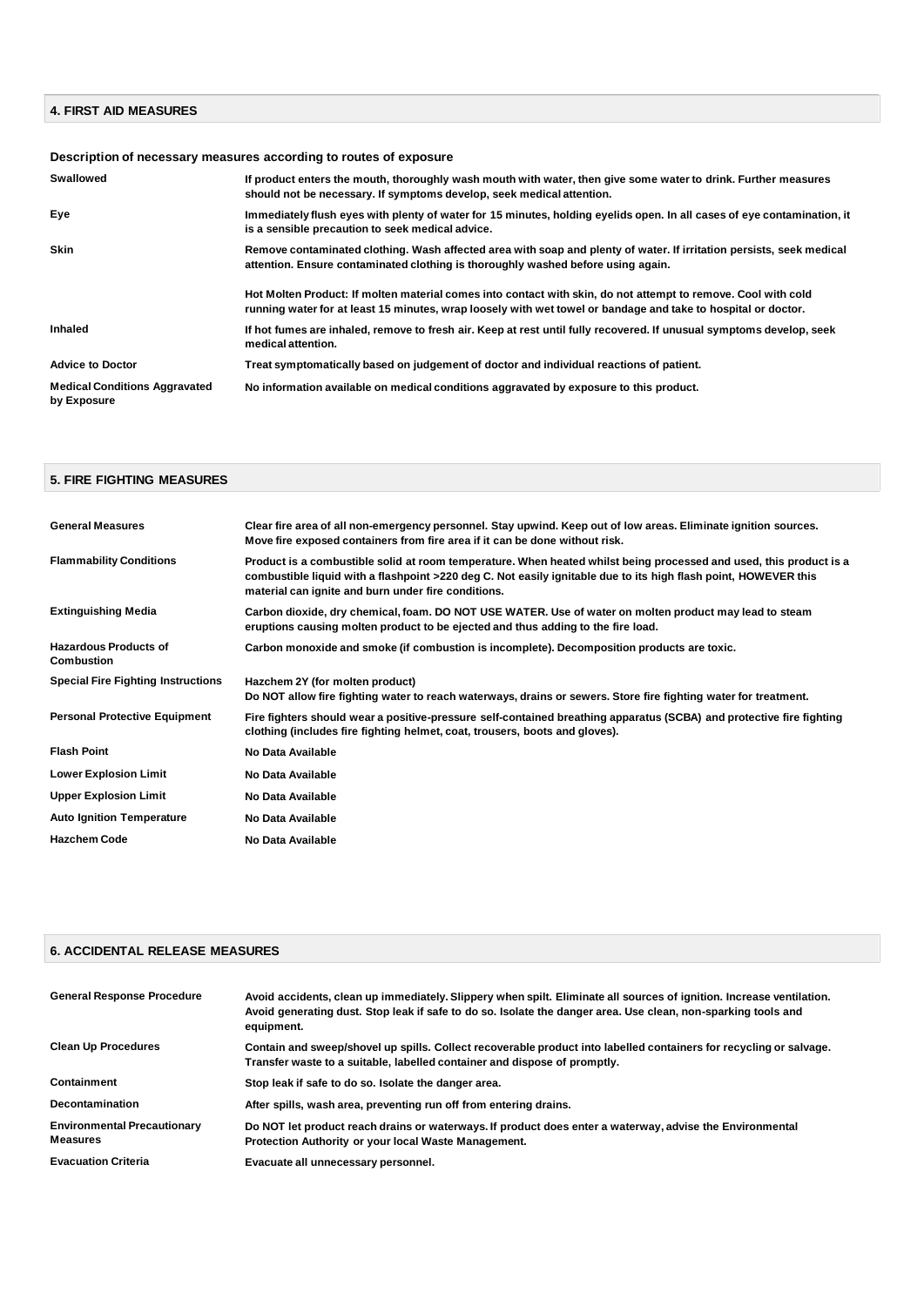## **4. FIRST AID MEASURES**

# **Description of necessary measures according to routes of exposure**

| Swallowed                                           | If product enters the mouth, thoroughly wash mouth with water, then give some water to drink. Further measures<br>should not be necessary. If symptoms develop, seek medical attention.                                        |
|-----------------------------------------------------|--------------------------------------------------------------------------------------------------------------------------------------------------------------------------------------------------------------------------------|
| Eye                                                 | Immediately flush eyes with plenty of water for 15 minutes, holding eyelids open. In all cases of eye contamination, it<br>is a sensible precaution to seek medical advice.                                                    |
| <b>Skin</b>                                         | Remove contaminated clothing. Wash affected area with soap and plenty of water. If irritation persists, seek medical<br>attention. Ensure contaminated clothing is thoroughly washed before using again.                       |
|                                                     | Hot Molten Product: If molten material comes into contact with skin, do not attempt to remove. Cool with cold<br>running water for at least 15 minutes, wrap loosely with wet towel or bandage and take to hospital or doctor. |
| Inhaled                                             | If hot fumes are inhaled, remove to fresh air. Keep at rest until fully recovered. If unusual symptoms develop, seek<br>medical attention.                                                                                     |
| <b>Advice to Doctor</b>                             | Treat symptomatically based on judgement of doctor and individual reactions of patient.                                                                                                                                        |
| <b>Medical Conditions Aggravated</b><br>by Exposure | No information available on medical conditions aggravated by exposure to this product.                                                                                                                                         |

#### **5. FIRE FIGHTING MEASURES**

| <b>General Measures</b>                           | Clear fire area of all non-emergency personnel. Stay upwind. Keep out of low areas. Eliminate ignition sources.<br>Move fire exposed containers from fire area if it can be done without risk.                                                                                               |
|---------------------------------------------------|----------------------------------------------------------------------------------------------------------------------------------------------------------------------------------------------------------------------------------------------------------------------------------------------|
| <b>Flammability Conditions</b>                    | Product is a combustible solid at room temperature. When heated whilst being processed and used, this product is a<br>combustible liquid with a flashpoint >220 deg C. Not easily ignitable due to its high flash point, HOWEVER this<br>material can ignite and burn under fire conditions. |
| <b>Extinguishing Media</b>                        | Carbon dioxide, dry chemical, foam. DO NOT USE WATER. Use of water on molten product may lead to steam<br>eruptions causing molten product to be ejected and thus adding to the fire load.                                                                                                   |
| <b>Hazardous Products of</b><br><b>Combustion</b> | Carbon monoxide and smoke (if combustion is incomplete). Decomposition products are toxic.                                                                                                                                                                                                   |
| <b>Special Fire Fighting Instructions</b>         | Hazchem 2Y (for molten product)<br>Do NOT allow fire fighting water to reach waterways, drains or sewers. Store fire fighting water for treatment.                                                                                                                                           |
| <b>Personal Protective Equipment</b>              | Fire fighters should wear a positive-pressure self-contained breathing apparatus (SCBA) and protective fire fighting<br>clothing (includes fire fighting helmet, coat, trousers, boots and gloves).                                                                                          |
| <b>Flash Point</b>                                | No Data Available                                                                                                                                                                                                                                                                            |
| <b>Lower Explosion Limit</b>                      | No Data Available                                                                                                                                                                                                                                                                            |
| <b>Upper Explosion Limit</b>                      | No Data Available                                                                                                                                                                                                                                                                            |
| <b>Auto Ignition Temperature</b>                  | No Data Available                                                                                                                                                                                                                                                                            |
| <b>Hazchem Code</b>                               | No Data Available                                                                                                                                                                                                                                                                            |

| <b>6. ACCIDENTAL RELEASE MEASURES</b>                 |                                                                                                                                                                                                                                                     |  |
|-------------------------------------------------------|-----------------------------------------------------------------------------------------------------------------------------------------------------------------------------------------------------------------------------------------------------|--|
|                                                       |                                                                                                                                                                                                                                                     |  |
| <b>General Response Procedure</b>                     | Avoid accidents, clean up immediately. Slippery when spilt. Eliminate all sources of ignition. Increase ventilation.<br>Avoid generating dust. Stop leak if safe to do so. Isolate the danger area. Use clean, non-sparking tools and<br>equipment. |  |
| <b>Clean Up Procedures</b>                            | Contain and sweep/shovel up spills. Collect recoverable product into labelled containers for recycling or salvage.<br>Transfer waste to a suitable, labelled container and dispose of promptly.                                                     |  |
| Containment                                           | Stop leak if safe to do so. Isolate the danger area.                                                                                                                                                                                                |  |
| <b>Decontamination</b>                                | After spills, wash area, preventing run off from entering drains.                                                                                                                                                                                   |  |
| <b>Environmental Precautionary</b><br><b>Measures</b> | Do NOT let product reach drains or waterways. If product does enter a waterway, advise the Environmental<br>Protection Authority or your local Waste Management.                                                                                    |  |
| <b>Evacuation Criteria</b>                            | Evacuate all unnecessary personnel.                                                                                                                                                                                                                 |  |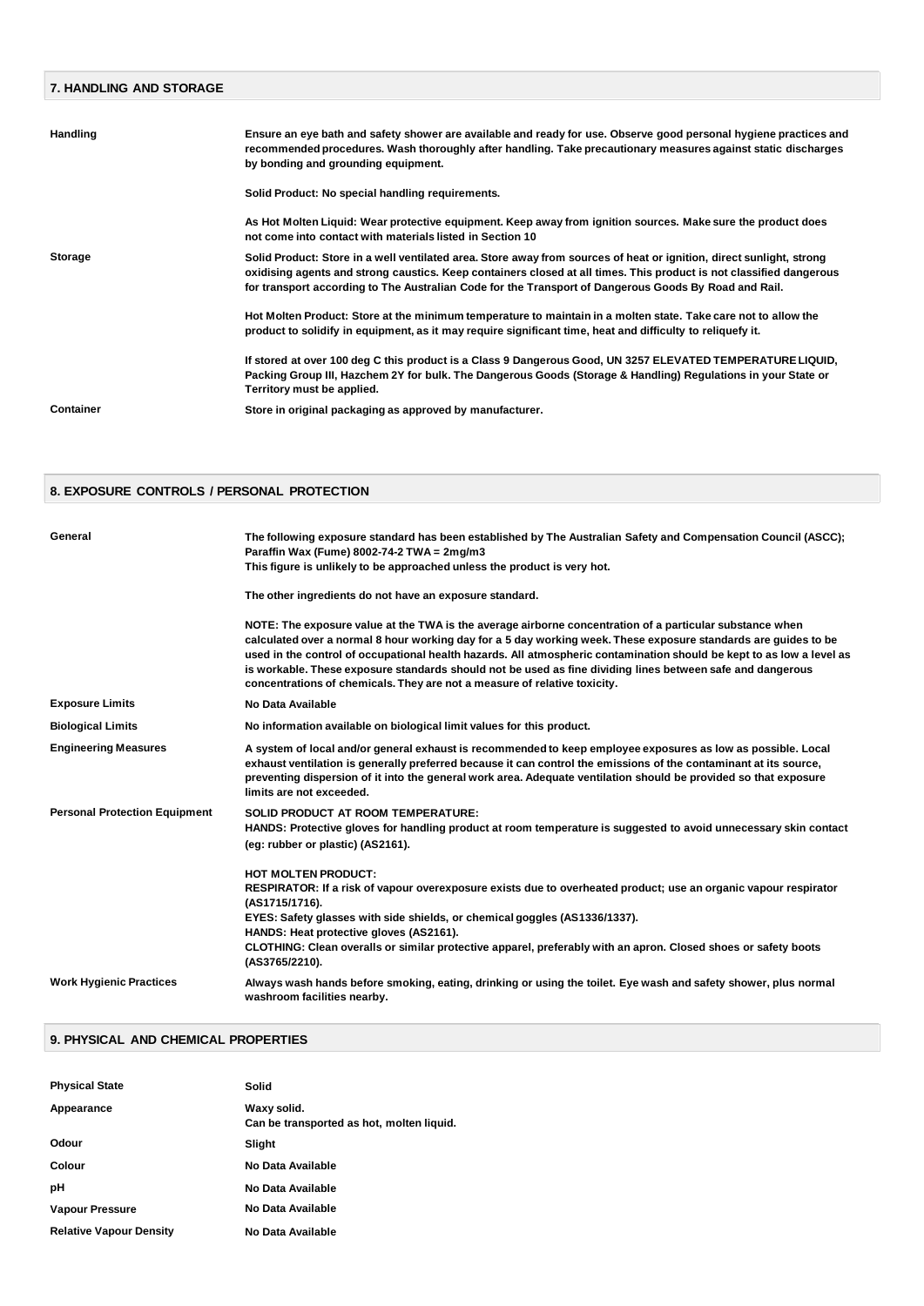| <b>7. HANDLING AND STORAGE</b> |                                                                                                                                                                                                                                                                                                                                                      |  |
|--------------------------------|------------------------------------------------------------------------------------------------------------------------------------------------------------------------------------------------------------------------------------------------------------------------------------------------------------------------------------------------------|--|
|                                |                                                                                                                                                                                                                                                                                                                                                      |  |
| Handling                       | Ensure an eye bath and safety shower are available and ready for use. Observe good personal hygiene practices and<br>recommended procedures. Wash thoroughly after handling. Take precautionary measures against static discharges<br>by bonding and grounding equipment.                                                                            |  |
|                                | Solid Product: No special handling requirements.                                                                                                                                                                                                                                                                                                     |  |
|                                | As Hot Molten Liquid: Wear protective equipment. Keep away from ignition sources. Make sure the product does<br>not come into contact with materials listed in Section 10                                                                                                                                                                            |  |
| Storage                        | Solid Product: Store in a well ventilated area. Store away from sources of heat or ignition, direct sunlight, strong<br>oxidising agents and strong caustics. Keep containers closed at all times. This product is not classified dangerous<br>for transport according to The Australian Code for the Transport of Dangerous Goods By Road and Rail. |  |
|                                | Hot Molten Product: Store at the minimum temperature to maintain in a molten state. Take care not to allow the<br>product to solidify in equipment, as it may require significant time, heat and difficulty to reliquefy it.                                                                                                                         |  |
|                                | If stored at over 100 deg C this product is a Class 9 Dangerous Good, UN 3257 ELEVATED TEMPERATURE LIQUID,<br>Packing Group III, Hazchem 2Y for bulk. The Dangerous Goods (Storage & Handling) Regulations in your State or<br>Territory must be applied.                                                                                            |  |
| Container                      | Store in original packaging as approved by manufacturer.                                                                                                                                                                                                                                                                                             |  |
|                                |                                                                                                                                                                                                                                                                                                                                                      |  |

# **8. EXPOSURE CONTROLS / PERSONAL PROTECTION**

| General                              | The following exposure standard has been established by The Australian Safety and Compensation Council (ASCC);<br>Paraffin Wax (Fume) 8002-74-2 TWA = 2mg/m3<br>This figure is unlikely to be approached unless the product is very hot.<br>The other ingredients do not have an exposure standard.                                                                                                                                                                                                                                             |
|--------------------------------------|-------------------------------------------------------------------------------------------------------------------------------------------------------------------------------------------------------------------------------------------------------------------------------------------------------------------------------------------------------------------------------------------------------------------------------------------------------------------------------------------------------------------------------------------------|
|                                      | NOTE: The exposure value at the TWA is the average airborne concentration of a particular substance when<br>calculated over a normal 8 hour working day for a 5 day working week. These exposure standards are guides to be<br>used in the control of occupational health hazards. All atmospheric contamination should be kept to as low a level as<br>is workable. These exposure standards should not be used as fine dividing lines between safe and dangerous<br>concentrations of chemicals. They are not a measure of relative toxicity. |
| <b>Exposure Limits</b>               | No Data Available                                                                                                                                                                                                                                                                                                                                                                                                                                                                                                                               |
| <b>Biological Limits</b>             | No information available on biological limit values for this product.                                                                                                                                                                                                                                                                                                                                                                                                                                                                           |
| <b>Engineering Measures</b>          | A system of local and/or general exhaust is recommended to keep employee exposures as low as possible. Local<br>exhaust ventilation is generally preferred because it can control the emissions of the contaminant at its source,<br>preventing dispersion of it into the general work area. Adequate ventilation should be provided so that exposure<br>limits are not exceeded.                                                                                                                                                               |
| <b>Personal Protection Equipment</b> | <b>SOLID PRODUCT AT ROOM TEMPERATURE:</b><br>HANDS: Protective gloves for handling product at room temperature is suggested to avoid unnecessary skin contact<br>(eg: rubber or plastic) (AS2161).                                                                                                                                                                                                                                                                                                                                              |
|                                      | <b>HOT MOLTEN PRODUCT:</b><br>RESPIRATOR: If a risk of vapour overexposure exists due to overheated product; use an organic vapour respirator<br>(AS1715/1716).<br>EYES: Safety glasses with side shields, or chemical goggles (AS1336/1337).<br>HANDS: Heat protective gloves (AS2161).<br>CLOTHING: Clean overalls or similar protective apparel, preferably with an apron. Closed shoes or safety boots<br>(AS3765/2210).                                                                                                                    |
| <b>Work Hygienic Practices</b>       | Always wash hands before smoking, eating, drinking or using the toilet. Eye wash and safety shower, plus normal<br>washroom facilities nearby.                                                                                                                                                                                                                                                                                                                                                                                                  |

### **9. PHYSICAL AND CHEMICAL PROPERTIES**

| <b>Physical State</b>          | Solid                                                    |
|--------------------------------|----------------------------------------------------------|
| Appearance                     | Waxy solid.<br>Can be transported as hot, molten liquid. |
| Odour                          | Slight                                                   |
| Colour                         | No Data Available                                        |
| рH                             | No Data Available                                        |
| <b>Vapour Pressure</b>         | No Data Available                                        |
| <b>Relative Vapour Density</b> | No Data Available                                        |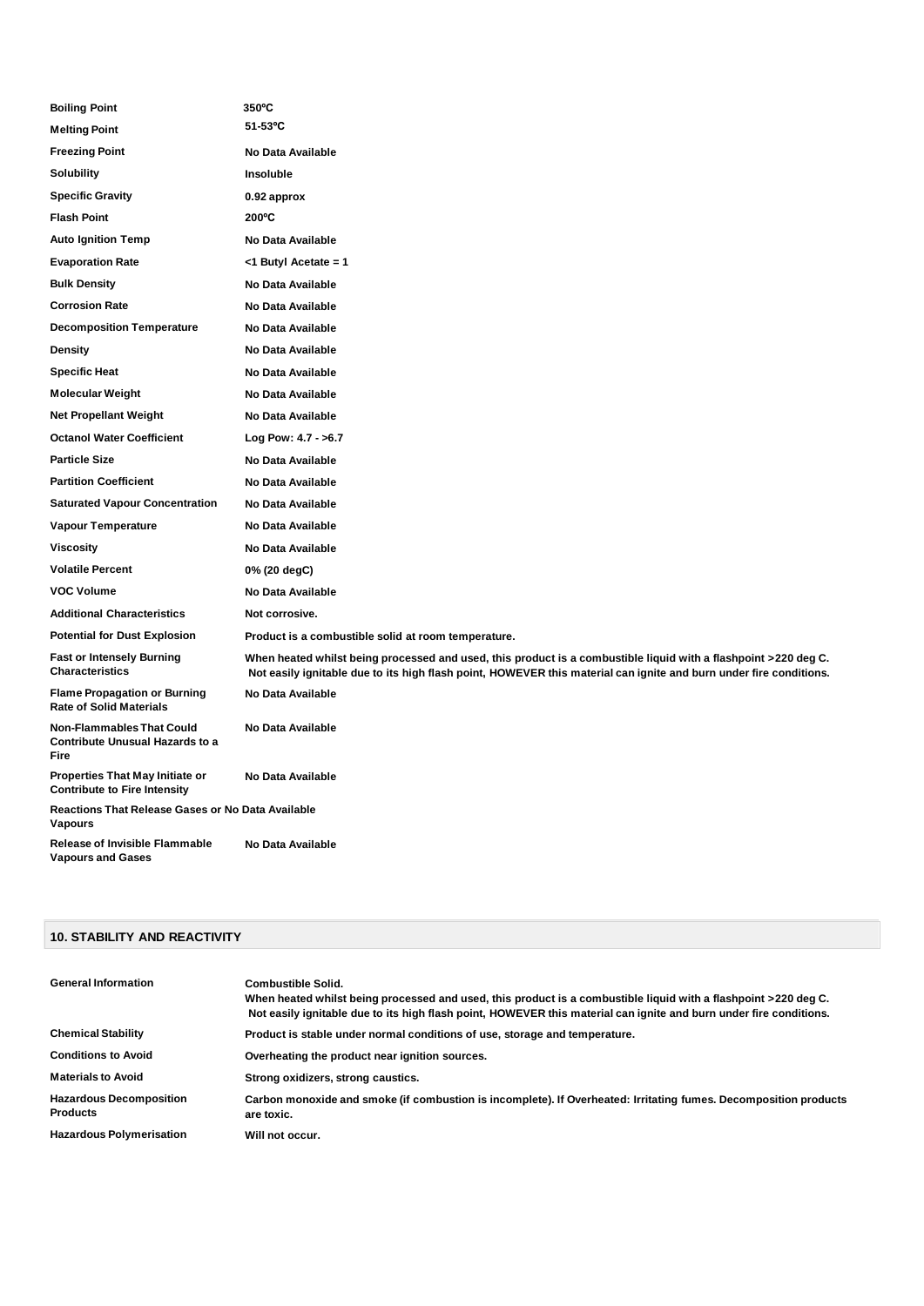| <b>Boiling Point</b>                                                        | 350°C                                                                                                                                                                                                                                 |  |
|-----------------------------------------------------------------------------|---------------------------------------------------------------------------------------------------------------------------------------------------------------------------------------------------------------------------------------|--|
| <b>Melting Point</b>                                                        | $51-53$ °C                                                                                                                                                                                                                            |  |
| <b>Freezing Point</b>                                                       | No Data Available                                                                                                                                                                                                                     |  |
| Solubility                                                                  | Insoluble                                                                                                                                                                                                                             |  |
| <b>Specific Gravity</b>                                                     | 0.92 approx                                                                                                                                                                                                                           |  |
| <b>Flash Point</b>                                                          | 200°C                                                                                                                                                                                                                                 |  |
| <b>Auto Ignition Temp</b>                                                   | No Data Available                                                                                                                                                                                                                     |  |
| <b>Evaporation Rate</b>                                                     | <1 Butyl Acetate = 1                                                                                                                                                                                                                  |  |
| <b>Bulk Density</b>                                                         | No Data Available                                                                                                                                                                                                                     |  |
| <b>Corrosion Rate</b>                                                       | No Data Available                                                                                                                                                                                                                     |  |
| <b>Decomposition Temperature</b>                                            | No Data Available                                                                                                                                                                                                                     |  |
| <b>Density</b>                                                              | No Data Available                                                                                                                                                                                                                     |  |
| <b>Specific Heat</b>                                                        | No Data Available                                                                                                                                                                                                                     |  |
| Molecular Weight                                                            | No Data Available                                                                                                                                                                                                                     |  |
| <b>Net Propellant Weight</b>                                                | No Data Available                                                                                                                                                                                                                     |  |
| <b>Octanol Water Coefficient</b>                                            | Log Pow: 4.7 - >6.7                                                                                                                                                                                                                   |  |
| <b>Particle Size</b>                                                        | No Data Available                                                                                                                                                                                                                     |  |
| <b>Partition Coefficient</b>                                                | No Data Available                                                                                                                                                                                                                     |  |
| <b>Saturated Vapour Concentration</b>                                       | No Data Available                                                                                                                                                                                                                     |  |
| <b>Vapour Temperature</b>                                                   | No Data Available                                                                                                                                                                                                                     |  |
| Viscosity                                                                   | No Data Available                                                                                                                                                                                                                     |  |
| <b>Volatile Percent</b>                                                     | 0% (20 degC)                                                                                                                                                                                                                          |  |
| <b>VOC Volume</b>                                                           | No Data Available                                                                                                                                                                                                                     |  |
| <b>Additional Characteristics</b>                                           | Not corrosive.                                                                                                                                                                                                                        |  |
| <b>Potential for Dust Explosion</b>                                         | Product is a combustible solid at room temperature.                                                                                                                                                                                   |  |
| <b>Fast or Intensely Burning</b><br><b>Characteristics</b>                  | When heated whilst being processed and used, this product is a combustible liquid with a flashpoint >220 deg C.<br>Not easily ignitable due to its high flash point, HOWEVER this material can ignite and burn under fire conditions. |  |
| <b>Flame Propagation or Burning</b><br><b>Rate of Solid Materials</b>       | No Data Available                                                                                                                                                                                                                     |  |
| <b>Non-Flammables That Could</b><br>Contribute Unusual Hazards to a<br>Fire | No Data Available                                                                                                                                                                                                                     |  |
| Properties That May Initiate or<br><b>Contribute to Fire Intensity</b>      | No Data Available                                                                                                                                                                                                                     |  |
| Reactions That Release Gases or No Data Available<br>Vapours                |                                                                                                                                                                                                                                       |  |
| <b>Release of Invisible Flammable</b><br><b>Vapours and Gases</b>           | No Data Available                                                                                                                                                                                                                     |  |

### **10. STABILITY AND REACTIVITY**

| <b>General Information</b>                        | <b>Combustible Solid.</b><br>When heated whilst being processed and used, this product is a combustible liquid with a flashpoint >220 deg C.<br>Not easily ignitable due to its high flash point, HOWEVER this material can ignite and burn under fire conditions. |
|---------------------------------------------------|--------------------------------------------------------------------------------------------------------------------------------------------------------------------------------------------------------------------------------------------------------------------|
| <b>Chemical Stability</b>                         | Product is stable under normal conditions of use, storage and temperature.                                                                                                                                                                                         |
| <b>Conditions to Avoid</b>                        | Overheating the product near ignition sources.                                                                                                                                                                                                                     |
| <b>Materials to Avoid</b>                         | Strong oxidizers, strong caustics.                                                                                                                                                                                                                                 |
| <b>Hazardous Decomposition</b><br><b>Products</b> | Carbon monoxide and smoke (if combustion is incomplete). If Overheated: Irritating fumes. Decomposition products<br>are toxic.                                                                                                                                     |
| <b>Hazardous Polymerisation</b>                   | Will not occur.                                                                                                                                                                                                                                                    |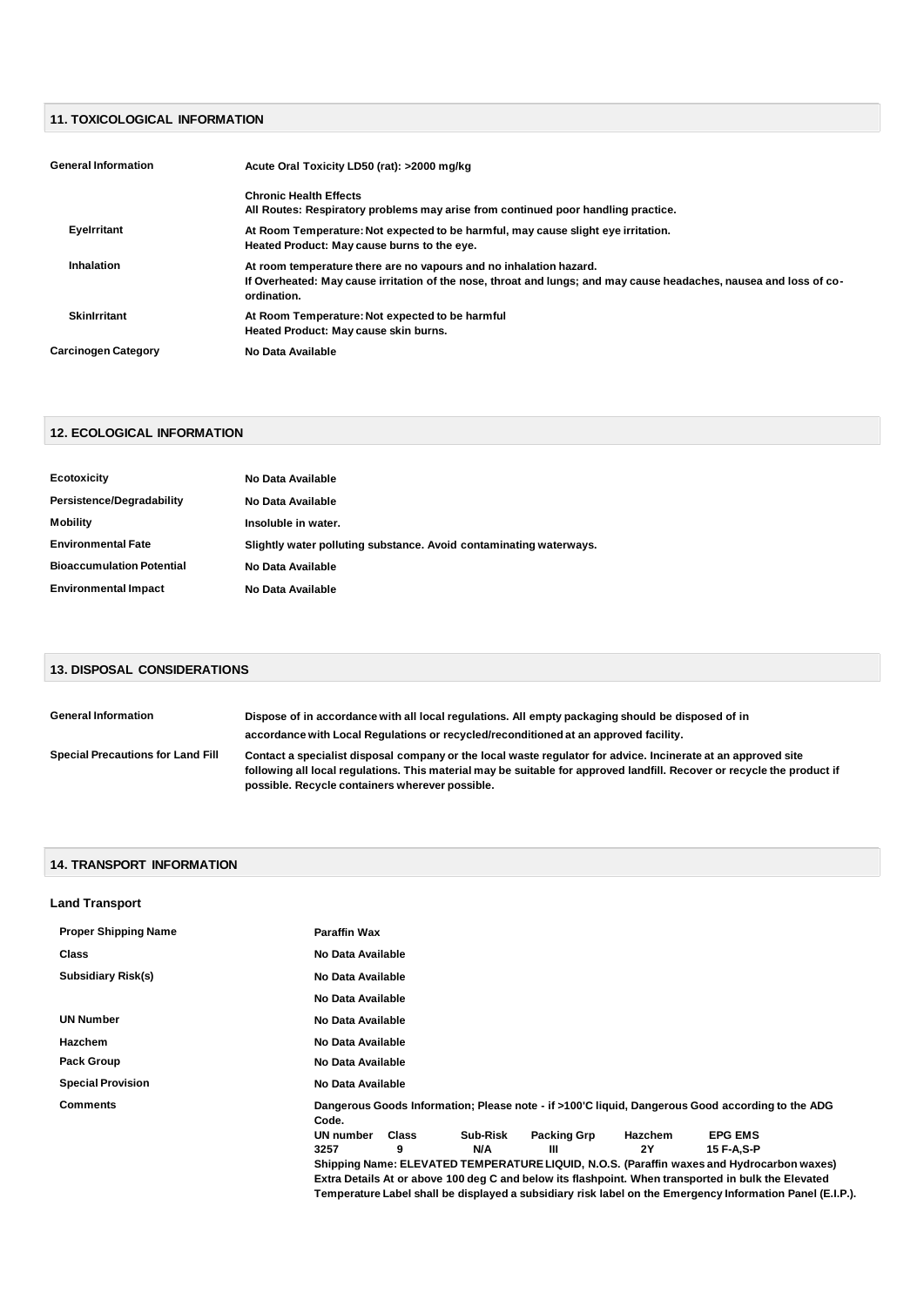# **11. TOXICOLOGICAL INFORMATION**

| <b>General Information</b> | Acute Oral Toxicity LD50 (rat): >2000 mg/kg                                                                                                                                                             |
|----------------------------|---------------------------------------------------------------------------------------------------------------------------------------------------------------------------------------------------------|
|                            | <b>Chronic Health Effects</b><br>All Routes: Respiratory problems may arise from continued poor handling practice.                                                                                      |
| Eyelrritant                | At Room Temperature: Not expected to be harmful, may cause slight eye irritation.<br>Heated Product: May cause burns to the eye.                                                                        |
| Inhalation                 | At room temperature there are no vapours and no inhalation hazard.<br>If Overheated: May cause irritation of the nose, throat and lungs; and may cause headaches, nausea and loss of co-<br>ordination. |
| <b>Skinlrritant</b>        | At Room Temperature: Not expected to be harmful<br>Heated Product: May cause skin burns.                                                                                                                |
| <b>Carcinogen Category</b> | No Data Available                                                                                                                                                                                       |

# **12. ECOLOGICAL INFORMATION**

| Ecotoxicity                      | No Data Available                                                  |
|----------------------------------|--------------------------------------------------------------------|
| Persistence/Degradability        | No Data Available                                                  |
| Mobility                         | Insoluble in water.                                                |
| <b>Environmental Fate</b>        | Slightly water polluting substance. Avoid contaminating waterways. |
| <b>Bioaccumulation Potential</b> | No Data Available                                                  |
| <b>Environmental Impact</b>      | No Data Available                                                  |

# **13. DISPOSAL CONSIDERATIONS**

| <b>General Information</b>               | Dispose of in accordance with all local regulations. All empty packaging should be disposed of in                                                                                                                                                                                           |
|------------------------------------------|---------------------------------------------------------------------------------------------------------------------------------------------------------------------------------------------------------------------------------------------------------------------------------------------|
|                                          | accordance with Local Regulations or recycled/reconditioned at an approved facility.                                                                                                                                                                                                        |
| <b>Special Precautions for Land Fill</b> | Contact a specialist disposal company or the local waste regulator for advice. Incinerate at an approved site<br>following all local regulations. This material may be suitable for approved landfill. Recover or recycle the product if<br>possible. Recycle containers wherever possible. |

### **14. TRANSPORT INFORMATION**

| <b>Land Transport</b>       |                                                                                                           |
|-----------------------------|-----------------------------------------------------------------------------------------------------------|
| <b>Proper Shipping Name</b> | <b>Paraffin Wax</b>                                                                                       |
| <b>Class</b>                | No Data Available                                                                                         |
| <b>Subsidiary Risk(s)</b>   | No Data Available                                                                                         |
|                             | No Data Available                                                                                         |
| <b>UN Number</b>            | No Data Available                                                                                         |
| <b>Hazchem</b>              | No Data Available                                                                                         |
| <b>Pack Group</b>           | No Data Available                                                                                         |
| <b>Special Provision</b>    | No Data Available                                                                                         |
| <b>Comments</b>             | Dangerous Goods Information; Please note - if >100'C liquid, Dangerous Good according to the ADG<br>Code. |
|                             | Sub-Risk<br><b>Packing Grp</b><br><b>EPG EMS</b><br>UN number<br>Class<br>Hazchem                         |
|                             | 2Y<br>3257<br>9<br>ш<br>15 F-A.S-P<br>N/A                                                                 |
|                             | Shipping Name: ELEVATED TEMPERATURE LIQUID, N.O.S. (Paraffin waxes and Hydrocarbon waxes)                 |
|                             | Extra Details At or above 100 deg C and below its flashpoint. When transported in bulk the Elevated       |
|                             | Temperature Label shall be displayed a subsidiary risk label on the Emergency Information Panel (E.I.P.). |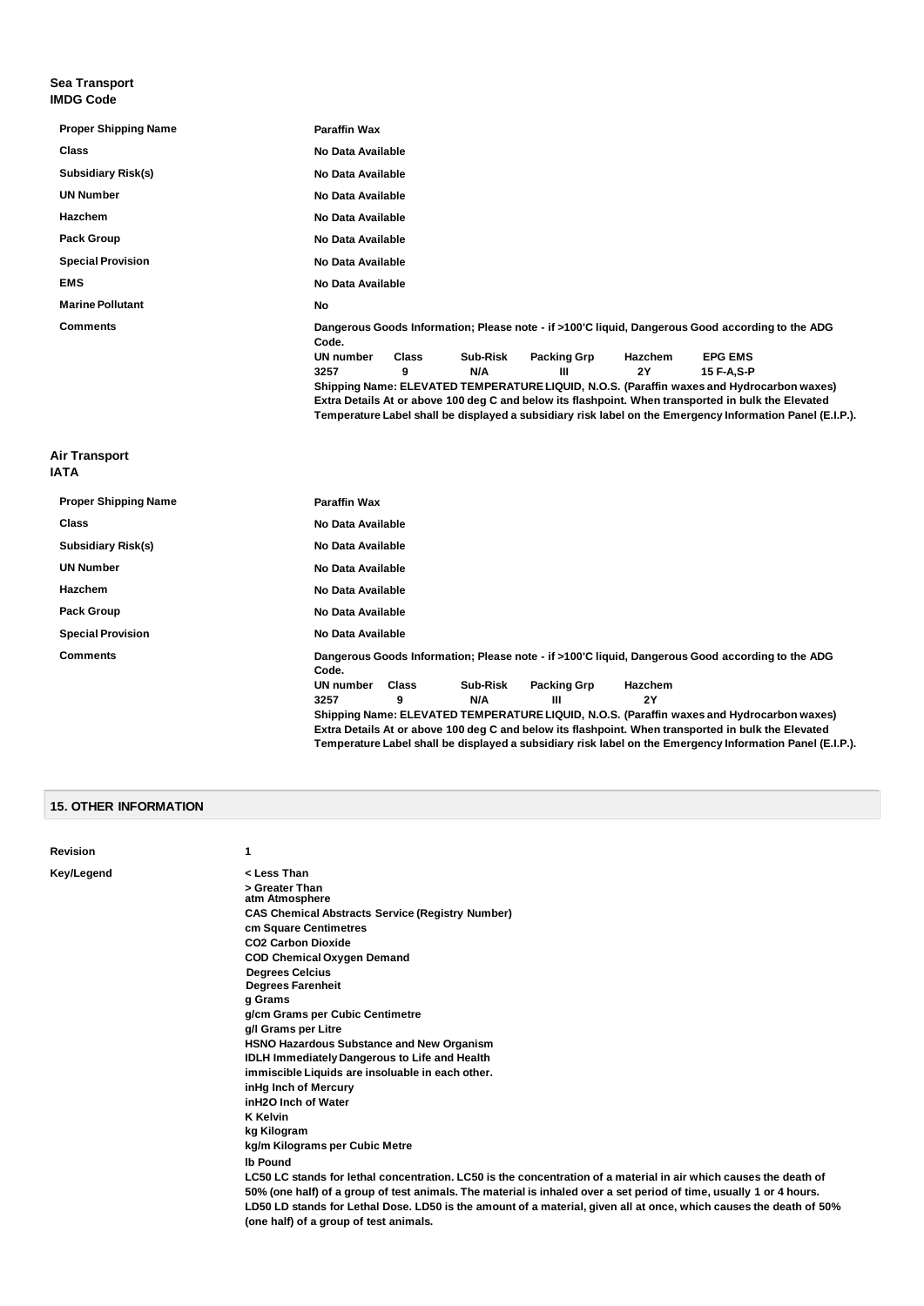#### **Sea Transport IMDG Code**

| <b>Paraffin Wax</b>                                                                                                                                                                                                                                                                                                                                                                                                                                                                                                                                                        |
|----------------------------------------------------------------------------------------------------------------------------------------------------------------------------------------------------------------------------------------------------------------------------------------------------------------------------------------------------------------------------------------------------------------------------------------------------------------------------------------------------------------------------------------------------------------------------|
| No Data Available                                                                                                                                                                                                                                                                                                                                                                                                                                                                                                                                                          |
| No Data Available                                                                                                                                                                                                                                                                                                                                                                                                                                                                                                                                                          |
| No Data Available                                                                                                                                                                                                                                                                                                                                                                                                                                                                                                                                                          |
| No Data Available                                                                                                                                                                                                                                                                                                                                                                                                                                                                                                                                                          |
| No Data Available                                                                                                                                                                                                                                                                                                                                                                                                                                                                                                                                                          |
| No Data Available                                                                                                                                                                                                                                                                                                                                                                                                                                                                                                                                                          |
| No Data Available                                                                                                                                                                                                                                                                                                                                                                                                                                                                                                                                                          |
| <b>No</b>                                                                                                                                                                                                                                                                                                                                                                                                                                                                                                                                                                  |
| Dangerous Goods Information; Please note - if >100'C liquid, Dangerous Good according to the ADG<br>Code.<br><b>UN number</b><br><b>Packing Grp</b><br><b>EPG EMS</b><br><b>Class</b><br>Sub-Risk<br>Hazchem<br>N/A<br>2Y<br>3257<br>9<br>Ш<br>15 F-A.S-P<br>Shipping Name: ELEVATED TEMPERATURE LIQUID, N.O.S. (Paraffin waxes and Hydrocarbon waxes)<br>Extra Details At or above 100 deg C and below its flashpoint. When transported in bulk the Elevated<br>Temperature Label shall be displayed a subsidiary risk label on the Emergency Information Panel (E.I.P.). |
|                                                                                                                                                                                                                                                                                                                                                                                                                                                                                                                                                                            |
| <b>Paraffin Wax</b>                                                                                                                                                                                                                                                                                                                                                                                                                                                                                                                                                        |
| No Data Available                                                                                                                                                                                                                                                                                                                                                                                                                                                                                                                                                          |
| No Data Available                                                                                                                                                                                                                                                                                                                                                                                                                                                                                                                                                          |
| No Data Available                                                                                                                                                                                                                                                                                                                                                                                                                                                                                                                                                          |
| No Data Available                                                                                                                                                                                                                                                                                                                                                                                                                                                                                                                                                          |
|                                                                                                                                                                                                                                                                                                                                                                                                                                                                                                                                                                            |

**Special Provision No Data Available**

**Comments Dangerous Goods Information; Please note - if >100'C liquid, Dangerous Good according to the ADG Code. UN number Class Sub-Risk Packing Grp Hazchem**

**3257 9 N/A III 2Y**

**Shipping Name: ELEVATED TEMPERATURE LIQUID, N.O.S. (Paraffin waxes and Hydrocarbon waxes) Extra Details At or above 100 deg C and below its flashpoint. When transported in bulk the Elevated Temperature Label shall be displayed a subsidiary risk label on the Emergency Information Panel (E.I.P.).**

## **15. OTHER INFORMATION**

**Pack Group No Data Available** 

#### **Revision 1**

**Key/Legend < Less Than > Greater Than atm Atmosphere CAS Chemical Abstracts Service (Registry Number) cm Square Centimetres CO2 Carbon Dioxide COD Chemical Oxygen Demand Degrees Celcius Degrees Farenheit g Grams g/cm Grams per Cubic Centimetre g/l Grams per Litre HSNO Hazardous Substance and New Organism IDLH Immediately Dangerous to Life and Health immiscible Liquids are insoluable in each other. inHg Inch of Mercury inH2O Inch of Water K Kelvin kg Kilogram kg/m Kilograms per Cubic Metre lb Pound LC50 LC stands for lethal concentration. LC50 is the concentration of a material in air which causes the death of 50% (one half) of a group of test animals. The material is inhaled over a set period of time, usually 1 or 4 hours. LD50 LD stands for Lethal Dose. LD50 is the amount of a material, given all at once, which causes the death of 50% (one half) of a group of test animals.**